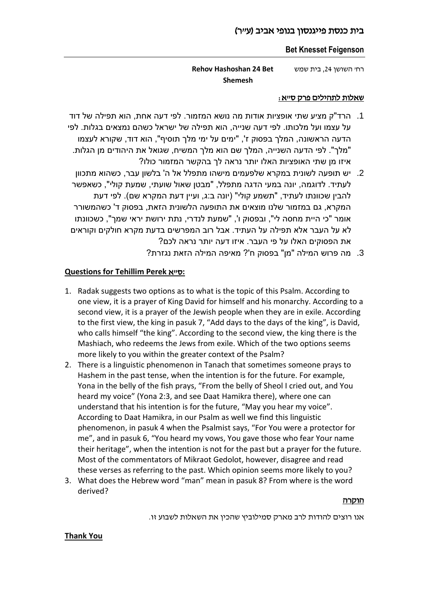## בית כנסת פייגנסון בנופי אביב (ע״ר)

#### **Bet Knesset Feigenson**

רח' השושן ,24 בית שמש **Bet 24 Hashoshan Rehov Shemesh** 

#### שאלות לתהילים פרק ס"א:

- .1 הרד"ק מציע שתי אופציות אודות מה נושא המזמור. לפי דעה אחת, הוא תפילה של דוד על עצמו ועל מלכותו. לפי דעה שנייה, הוא תפילה של ישראל כשהם נמצאים בגלות. לפי הדעה הראשונה, המלך בפסוק ז', "ימים על ימי מלך תוסיף", הוא דוד, שקורא לעצמו "מלך". לפי הדעה השנייה, המלך שם הוא מלך המשיח, שגואל את היהודים מן הגלות. איזו מן שתי האופציות האלו יותר נראה לך בהקשר המזמור כולו?
- .2 יש תופעה לשונית במקרא שלפעמים מישהו מתפלל אל ה' בלשון עבר, כשהוא מתכוון לעתיד. לדוגמה, יונה במעי הדגה מתפלל, "מבטן שאול שועתי, שמעת קולי", כשאפשר להבין שכוונתו לעתיד, "תשמע קולי" (יונה ב:ג, ועיין דעת המקרא שם). לפי דעת המקרא, גם במזמור שלנו מוצאים את התופעה הלשונית הזאת, בפסוק ד' כשהמשורר אומר "כי היית מחסה לי", ובפסוק ו', "שמעת לנדרי, נתת ירושת יראי שמך", כשכוונתו לא על העבר אלא תפילה על העתיד. אבל רוב המפרשים בדעת מקרא חולקים וקוראים את הפסוקים האלו על פי העבר. איזו דעה יותר נראה לכם?
	- .3 מה פרוש המילה "מן" בפסוק ח'? מאיפה המילה הזאת נגזרת?

### **Questions for Tehillim Perek** א"ס**:**

- 1. Radak suggests two options as to what is the topic of this Psalm. According to one view, it is a prayer of King David for himself and his monarchy. According to a second view, it is a prayer of the Jewish people when they are in exile. According to the first view, the king in pasuk 7, "Add days to the days of the king", is David, who calls himself "the king". According to the second view, the king there is the Mashiach, who redeems the Jews from exile. Which of the two options seems more likely to you within the greater context of the Psalm?
- 2. There is a linguistic phenomenon in Tanach that sometimes someone prays to Hashem in the past tense, when the intention is for the future. For example, Yona in the belly of the fish prays, "From the belly of Sheol I cried out, and You heard my voice" (Yona 2:3, and see Daat Hamikra there), where one can understand that his intention is for the future, "May you hear my voice". According to Daat Hamikra, in our Psalm as well we find this linguistic phenomenon, in pasuk 4 when the Psalmist says, "For You were a protector for me", and in pasuk 6, "You heard my vows, You gave those who fear Your name their heritage", when the intention is not for the past but a prayer for the future. Most of the commentators of Mikraot Gedolot, however, disagree and read these verses as referring to the past. Which opinion seems more likely to you?
- 3. What does the Hebrew word "man" mean in pasuk 8? From where is the word derived?

#### הוקרה

אנו רוצים להודות לרב מארק סמילוביץ שהכין את השאלות לשבוע זו.

#### **Thank You**